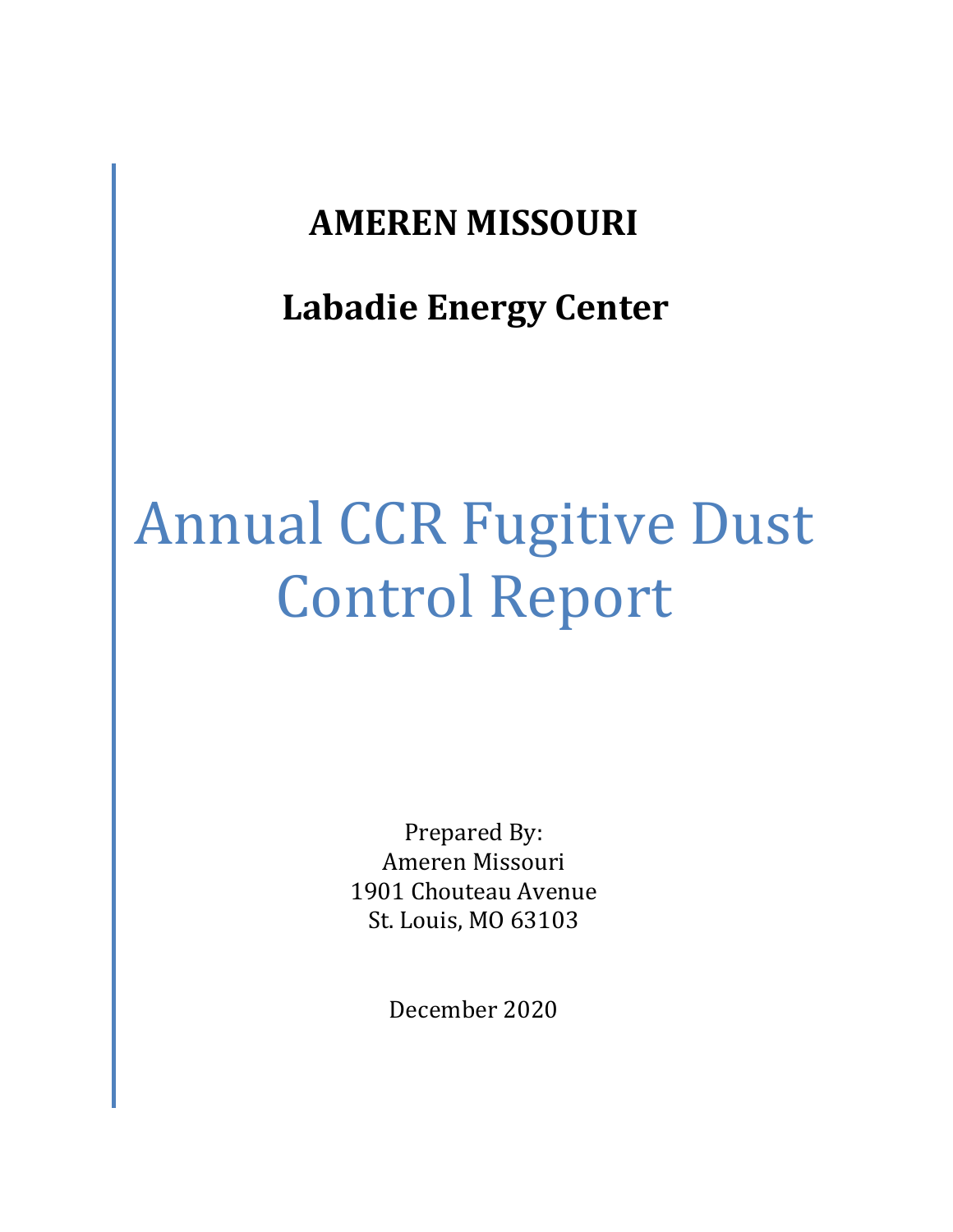## **AMEREN MISSOURI**

## **Labadie Energy Center**

# Annual CCR Fugitive Dust Control Report

Prepared By: Ameren Missouri 1901 Chouteau Avenue St. Louis, MO 63103

December 2020